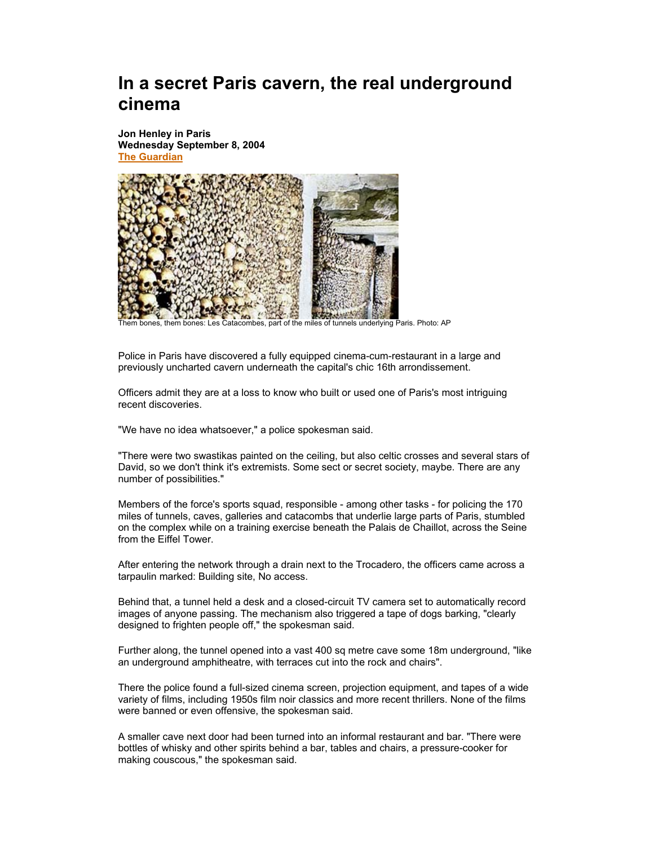## **In a secret Paris cavern, the real underground cinema**

**Jon Henley in Paris Wednesday September 8, 2004 The Guardian**



Them bones, them bones: Les Catacombes, part of the miles of tunnels underlying Paris. Photo: AP

Police in Paris have discovered a fully equipped cinema-cum-restaurant in a large and previously uncharted cavern underneath the capital's chic 16th arrondissement.

Officers admit they are at a loss to know who built or used one of Paris's most intriguing recent discoveries.

"We have no idea whatsoever," a police spokesman said.

"There were two swastikas painted on the ceiling, but also celtic crosses and several stars of David, so we don't think it's extremists. Some sect or secret society, maybe. There are any number of possibilities."

Members of the force's sports squad, responsible - among other tasks - for policing the 170 miles of tunnels, caves, galleries and catacombs that underlie large parts of Paris, stumbled on the complex while on a training exercise beneath the Palais de Chaillot, across the Seine from the Eiffel Tower.

After entering the network through a drain next to the Trocadero, the officers came across a tarpaulin marked: Building site, No access.

Behind that, a tunnel held a desk and a closed-circuit TV camera set to automatically record images of anyone passing. The mechanism also triggered a tape of dogs barking, "clearly designed to frighten people off," the spokesman said.

Further along, the tunnel opened into a vast 400 sq metre cave some 18m underground, "like an underground amphitheatre, with terraces cut into the rock and chairs".

There the police found a full-sized cinema screen, projection equipment, and tapes of a wide variety of films, including 1950s film noir classics and more recent thrillers. None of the films were banned or even offensive, the spokesman said.

A smaller cave next door had been turned into an informal restaurant and bar. "There were bottles of whisky and other spirits behind a bar, tables and chairs, a pressure-cooker for making couscous," the spokesman said.